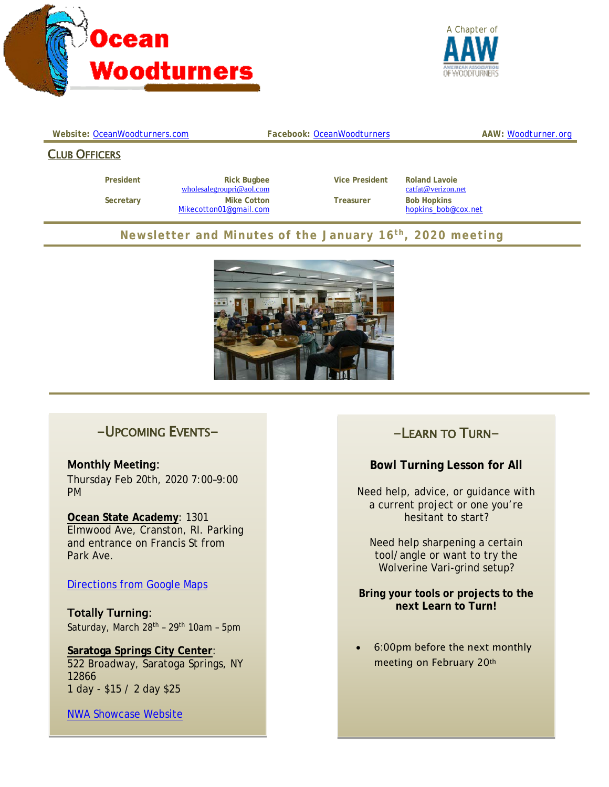



#### *Website: [OceanWoodturners.com](http://www.oceanwoodturners.com/) Facebook: [OceanWoodturners](https://www.facebook.com/OceanWoodturners/) AAW: [Woodturner.org](http://www.woodturner.org/)*

#### CLUB OFFICERS

**President Rick Bugbee Vice President Roland Lavoie wholesalegroupri@aol.com Cancel Conduct Conduct Roland Cancel** *Cattat@verizon.net*  $wholealegroupri@aol.com$  **Secretary Mike Cotton Treasurer Bob Hopkins** [Mikecotton01@gmail.com](mailto:Mikecotton01@gmail.com) [hopkins\\_bob@cox.net](mailto:hopkins_bob@cox.net)

### **Newsletter and Minutes of the January 16th, 2020 meeting**



### -UPCOMING EVENTS-

Monthly Meeting: Thursday Feb 20th, 2020 7:00–9:00 PM

#### **Ocean State Academy**: 1301 Elmwood Ave, Cranston, RI. Parking and entrance on Francis St from Park Ave.

Directions [from Google](https://goo.gl/maps/U9mYpTbd74hR16FcA) Maps

Totally Turning: Saturday, March 28<sup>th</sup> - 29<sup>th</sup> 10am - 5pm

**Saratoga Springs City Center**: 522 Broadway, Saratoga Springs, NY 12866 1 day - \$15 / 2 day \$25

[NWA Showcase Website](https://woodworker.org/about-showcase/)

### -LEARN TO TURN-

#### **Bowl Turning Lesson for All**

Need help, advice, or guidance with a current project or one you're hesitant to start?

Need help sharpening a certain tool/angle or want to try the Wolverine Vari-grind setup?

**Bring your tools or projects to the next Learn to Turn!**

• 6:00pm before the next monthly meeting on February 20th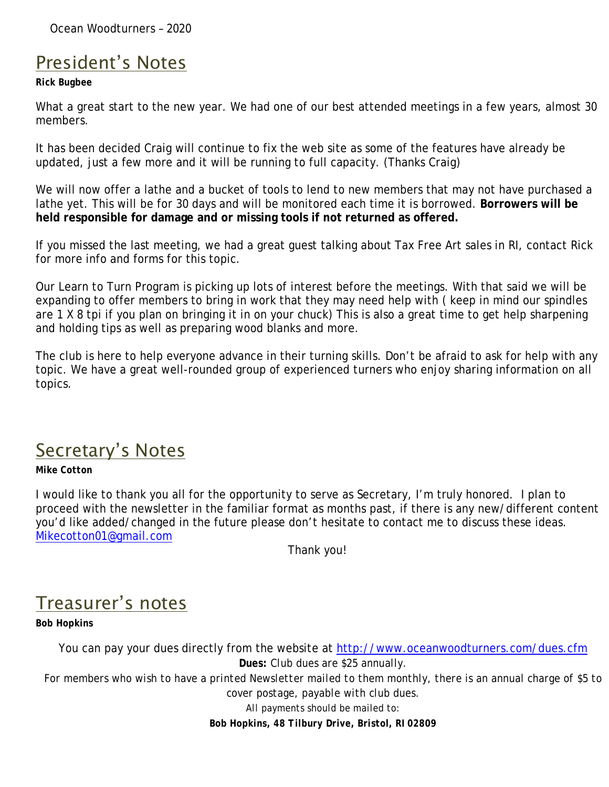Ocean Woodturners – 2020

## President's Notes

#### *Rick Bugbee*

What a great start to the new year. We had one of our best attended meetings in a few years, almost 30 members.

It has been decided Craig will continue to fix the web site as some of the features have already be updated, just a few more and it will be running to full capacity. (Thanks Craig)

We will now offer a lathe and a bucket of tools to lend to new members that may not have purchased a lathe yet. This will be for 30 days and will be monitored each time it is borrowed. **Borrowers will be held responsible for damage and or missing tools if not returned as offered.**

If you missed the last meeting, we had a great guest talking about Tax Free Art sales in RI, contact Rick for more info and forms for this topic.

Our Learn to Turn Program is picking up lots of interest before the meetings. With that said we will be expanding to offer members to bring in work that they may need help with ( keep in mind our spindles are 1 X 8 tpi if you plan on bringing it in on your chuck) This is also a great time to get help sharpening and holding tips as well as preparing wood blanks and more.

The club is here to help everyone advance in their turning skills. Don't be afraid to ask for help with any topic. We have a great well-rounded group of experienced turners who enjoy sharing information on all topics.

## Secretary's Notes

### *Mike Cotton*

I would like to thank you all for the opportunity to serve as Secretary, I'm truly honored. I plan to proceed with the newsletter in the familiar format as months past, if there is any new/different content you'd like added/changed in the future please don't hesitate to contact me to discuss these ideas. [Mikecotton01@gmail.com](mailto:Mikecotton01@gmail.com)

Thank you!

# Treasurer's notes

*Bob Hopkins*

You can pay your dues directly from the website at<http://www.oceanwoodturners.com/dues.cfm> *Dues: Club dues are \$25 annually. For members who wish to have a printed Newsletter mailed to them monthly, there is an annual charge of \$5 to cover postage, payable with club dues. All payments should be mailed to: Bob Hopkins, 48 Tilbury Drive, Bristol, RI 02809*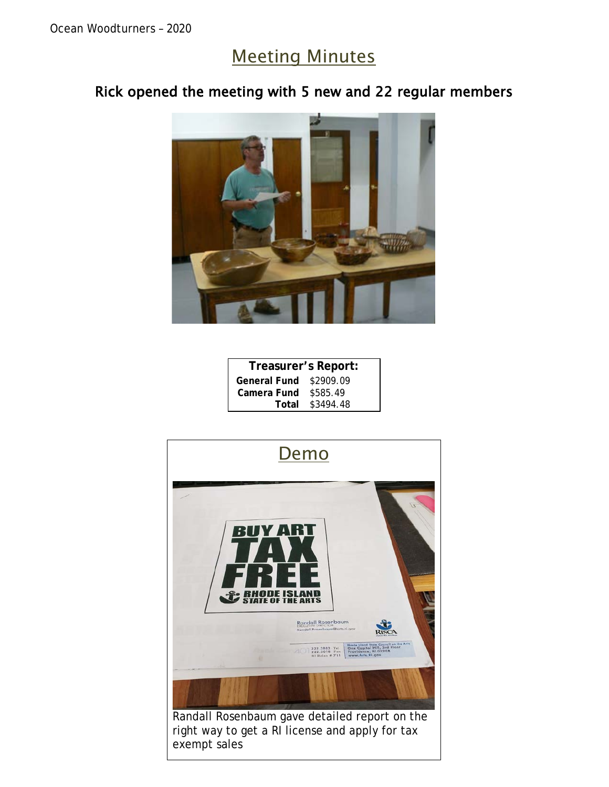## Meeting Minutes

### Rick opened the meeting with 5 new and 22 regular members



| Treasurer's Report: |           |
|---------------------|-----------|
| <b>General Fund</b> | \$2909.09 |
| Camera Fund         | \$585.49  |
| Total               | \$3494.48 |

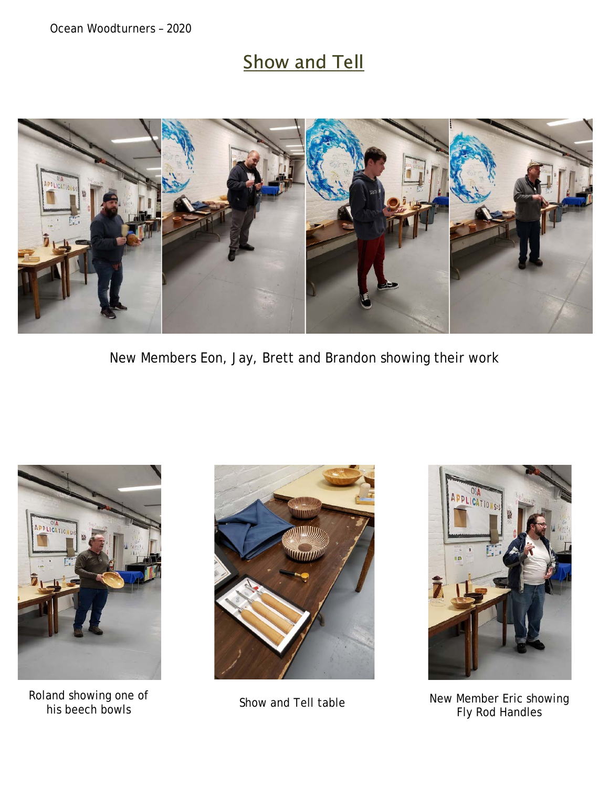# **Show and Tell**



New Members Eon, Jay, Brett and Brandon showing their work



Roland showing one of





his beech bowls Show and Tell table New Member Eric showing Fly Rod Handles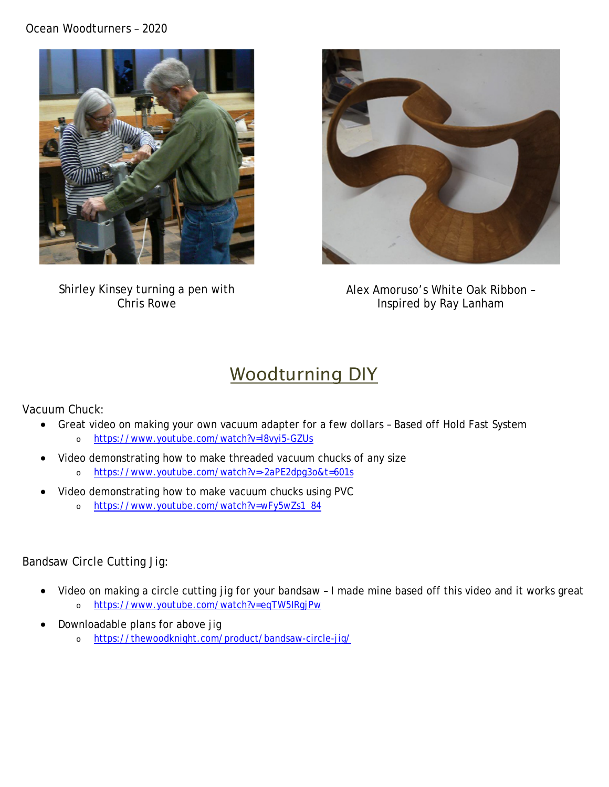#### Ocean Woodturners – 2020



Shirley Kinsey turning a pen with Chris Rowe



Alex Amoruso's White Oak Ribbon – Inspired by Ray Lanham

## Woodturning DIY

Vacuum Chuck:

- Great video on making your own vacuum adapter for a few dollars Based off Hold Fast System o <https://www.youtube.com/watch?v=l8vyi5-GZUs>
- Video demonstrating how to make threaded vacuum chucks of any size o <https://www.youtube.com/watch?v=-2aPE2dpg3o&t=601s>
- Video demonstrating how to make vacuum chucks using PVC
	- o [https://www.youtube.com/watch?v=wFy5wZs1\\_84](https://www.youtube.com/watch?v=wFy5wZs1_84)

### Bandsaw Circle Cutting Jig:

- Video on making a circle cutting jig for your bandsaw I made mine based off this video and it works great o <https://www.youtube.com/watch?v=eqTW5IRgjPw>
- Downloadable plans for above jig
	- o <https://thewoodknight.com/product/bandsaw-circle-jig/>